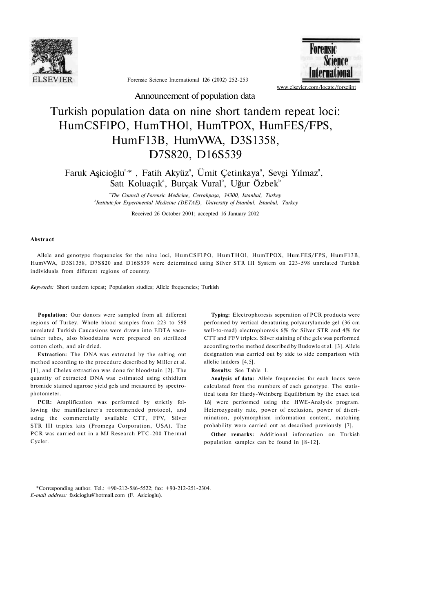

**Forensic Science** Internation: [www.elsevier.com/locate/forsciint](http://www.elsevier.com/locate/forsciint) 

Forensic Science International 126 (2002) 252-253

Announcement of population data

## Turkish population data on nine short tandem repeat loci: HumCSFlPO, HumTHOl, HumTPOX, HumFES/FPS, HumF13B, HumVWA, D3S1358, D7S820, D16S539

Faruk Aşicioğlu<sup>a,\*</sup>, Fatih Akyüz<sup>a</sup>, Ümit Çetinkaya<sup>a</sup>, Sevgi Yılmaz<sup>a</sup>, Satı Koluaçık<sup>a</sup>, Burçak Vural<sup>b</sup>, Uğur Özbek<sup>b</sup>

> *a The Council of Forensic Medicine, Cerrahpaşa, 34300, Istanbul, Turkey b Institute for Experimental Medicine (DETAE), University of Istanbul, Istanbul, Turkey*

> > Received 26 October 2001; accepted 16 January 2002

## **Abstract**

Allele and genotype frequencies for the nine loci, HumCSFlPO, HumTHOl, HumTPOX, HumFES/FPS, HumF13B, HumVWA, D3S1358, D7S820 and D16S539 were determined using Silver STR III System on 223-598 unrelated Turkish individuals from different regions of country.

*Keywords:* Short tandem tepeat; Population studies; Allele frequencies; Turkish

**Population:** Our donors were sampled from all different regions of Turkey. Whole blood samples from 223 to 598 unrelated Turkish Caucasions were drawn into EDTA vacutainer tubes, also bloodstains were prepared on sterilized cotton cloth, and air dried.

**Extraction:** The DNA was extracted by the salting out method according to the procedure described by Miller et al. [1], and Chelex extraction was done for bloodstain [2]. The quantity of extracted DNA was estimated using ethidium bromide stained agarose yield gels and measured by spectrophotometer.

**PCR:** Amplification was performed by strictly following the manifacturer's recommended protocol, and using the commercially available CTT, FFV, Silver STR III triplex kits (Promega Corporation, USA). The PCR was carried out in a MJ Research PTC-200 Thermal Cycler.

**Typing:** Electrophoresis seperation of PCR products were performed by vertical denaturing polyacrylamide gel (36 cm well-to-read) electrophoresis 6% for Silver STR and 4% for CTT and FFV triplex. Silver staining of the gels was performed according to the method described by Budowle et al. [3]. Allele designation was carried out by side to side comparison with allelic ladders [4,5].

**Results:** See Table 1.

**Analysis of data:** Allele frequencies for each locus were calculated from the numbers of each genotype. The statistical tests for Hardy-Weinberg Equilibrium by the exact test L6] were performed using the HWE-Analysis program. Heterozygosity rate, power of exclusion, power of discrimination, polymorphism information content, matching probability were carried out as described previously [7],

**Other remarks:** Additional information on Turkish population samples can be found in [8-12].

\*Corresponding author. Tel.: +90-212-586-5522; fax: +90-212-251-2304. *E-mail address:* [fasicioglu@hotmail.com \(](mailto:fasicioglu@hotmail.com)F. Asicioglu).